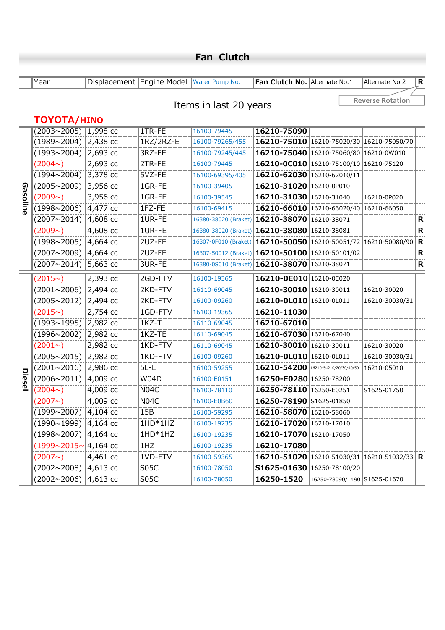|          | Year                                       |              | Displacement Engine Model Water Pump No. |                                                                  | Fan Clutch No. Alternate No.1               | Alternate No.2          | R.          |
|----------|--------------------------------------------|--------------|------------------------------------------|------------------------------------------------------------------|---------------------------------------------|-------------------------|-------------|
|          |                                            |              |                                          |                                                                  |                                             | <b>Reverse Rotation</b> |             |
|          |                                            |              |                                          | Items in last 20 years                                           |                                             |                         |             |
|          | TOYOTA/HINO                                |              |                                          |                                                                  |                                             |                         |             |
|          | $(2003 \times 2005)$ 1,998.cc              |              | 1TR-FE                                   | 16100-79445                                                      | 16210-75090                                 |                         |             |
|          | $(1989~2004)$ 2,438.cc                     |              | 1RZ/2RZ-E                                | 16100-79265/455                                                  | 16210-75010 16210-75020/30 16210-75050/70   |                         |             |
|          | (1993∼2004)  2,693.cc                      |              | 3RZ-FE                                   | 16100-79245/445                                                  | 16210-75040 16210-75060/80 16210-0W010      |                         |             |
|          | (2004 <sup>o</sup> )                       | 2,693.cc     | 2TR-FE                                   | 16100-79445                                                      | 16210-0C010 16210-75100/10 16210-75120      |                         |             |
|          | (1994∼2004) 3,378.cc                       |              | 5VZ-FE                                   | 16100-69395/405                                                  | 16210-62030 16210-62010/11                  |                         |             |
|          | (2005~2009) 3,956.cc                       |              | 1GR-FE                                   | 16100-39405                                                      | 16210-31020 16210-0P010                     |                         |             |
|          | (2009)                                     | 3,956.cc     | 1GR-FE                                   | 16100-39545                                                      | 16210-31030 16210-31040                     | 16210-0P020             |             |
| Gasoline | $(1998 \times 2006)$ 4,477.cc              |              | 1FZ-FE                                   | 16100-69415                                                      | 16210-66010 16210-66020/40 16210-66050      |                         |             |
|          | (2007~2014)                                | $ 4,608$ .cc | 1UR-FE                                   | 16380-38020 (Braket) 16210-38070 16210-38071                     |                                             |                         | R           |
|          | (2009)                                     | 4,608.cc     | 1UR-FE                                   | 16380-38020 (Braket) 16210-38080 16210-38081                     |                                             |                         | R           |
|          | (1998~2005) 4,664.cc                       |              | 2UZ-FE                                   | 16307-0F010 (Braket) 16210-50050 16210-50051/72 16210-50080/90 R |                                             |                         |             |
|          | $(2007~2009)$ 4,664.cc                     |              | 2UZ-FE                                   | 16307-50012 (Braket) 16210-50100 16210-50101/02                  |                                             |                         | R           |
|          | (2007~2014)                                | 5,663.cc     | 3UR-FE                                   | 16380-0S010 (Braket) 16210-38070 16210-38071                     |                                             |                         | $\mathbf R$ |
|          | (2015)                                     | 2,393.cc     | 2GD-FTV                                  | 16100-19365                                                      | 16210-0E010 16210-0E020                     |                         |             |
|          | $(2001~2006)$ 2,494.cc                     |              | 2KD-FTV                                  | 16110-69045                                                      | 16210-30010 16210-30011                     | 16210-30020             |             |
|          | (2005∼2012) 2,494.cc                       |              | 2KD-FTV                                  | 16100-09260                                                      | 16210-0L010 16210-0L011                     | 16210-30030/31          |             |
|          | (2015)                                     | 2,754.cc     | 1GD-FTV                                  | 16100-19365                                                      | 16210-11030                                 |                         |             |
|          | (1993∼1995)  2,982.cc                      |              | $1KZ-T$                                  | 16110-69045                                                      | 16210-67010                                 |                         |             |
|          | $(1996 \times 2002)$                       | 2,982.cc     | 1KZ-TE                                   | 16110-69045                                                      | 16210-67030 16210-67040                     |                         |             |
|          | $(2001\sim)$                               | 2,982.cc     | 1KD-FTV                                  | 16110-69045                                                      | 16210-30010 16210-30011                     | 16210-30020             |             |
|          | (2005~2015) 2,982.cc                       |              | 1KD-FTV                                  | 16100-09260                                                      | 16210-0L010 16210-0L011                     | 16210-30030/31          |             |
|          | $(2001~2016)$ 2,986.cc                     |              | $5L - E$                                 | 16100-59255                                                      | 16210-54200 16210-54210/20/30/40/50         | 16210-05010             |             |
| Diesel   | $(2006 \times 2011)$ 4,009.cc              |              | <b>W04D</b>                              | 16100-E0151                                                      | 16250-E0280 16250-78200                     |                         |             |
|          | (2004 <sub>o</sub> )                       | 4,009.cc     | N <sub>04</sub> C                        | 16100-78110                                                      | 16250-78110 16250-E0251                     | S1625-01750             |             |
|          | (2007)                                     | 4,009.cc     | <b>N04C</b>                              | 16100-E0B60                                                      | 16250-78190 S1625-01850                     |                         |             |
|          | $(1999 \times 2007)$ 4,104.cc              |              | 15B                                      | 16100-59295                                                      | 16210-58070 16210-58060                     |                         |             |
|          | $(1990 \times 1999)$ 4,164.cc              |              | $1HD*1HZ$                                | 16100-19235                                                      | 16210-17020 16210-17010                     |                         |             |
|          | $(1998~2007)$ 4,164.cc                     |              | $1HD*1HZ$                                | 16100-19235                                                      | 16210-17070 16210-17050                     |                         |             |
|          | $(1999 \times 2015 \times 4, 164 \cdot$ cc |              | 1HZ                                      | 16100-19235                                                      | 16210-17080                                 |                         |             |
|          | (2007)                                     | 4,461.cc     | 1VD-FTV                                  | 16100-59365                                                      | 16210-51020 16210-51030/31 16210-51032/33 R |                         |             |
|          | $(2002~2008)$ 4,613.cc                     |              | S <sub>05</sub> C                        | 16100-78050                                                      | S1625-01630 16250-78100/20                  |                         |             |
|          | $(2002~2006)$ 4,613.cc                     |              | S05C                                     | 16100-78050                                                      | 16250-1520 16250-78090/1490 51625-01670     |                         |             |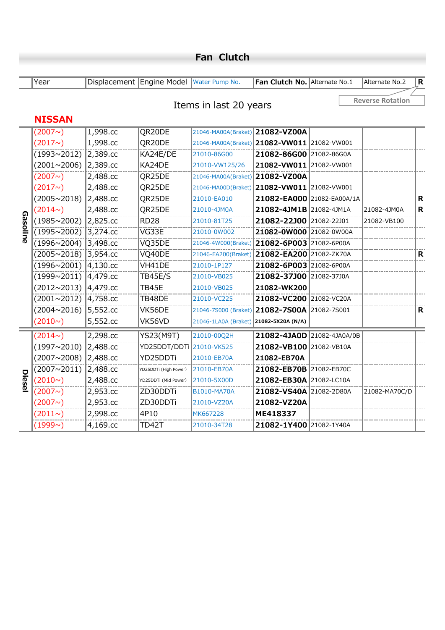|          | Year                 |             | Displacement Engine Model Water Pump No. |                                              | Fan Clutch No. Alternate No.1 | Alternate No.2          | $\mathsf{R}$ |
|----------|----------------------|-------------|------------------------------------------|----------------------------------------------|-------------------------------|-------------------------|--------------|
|          |                      |             |                                          | Items in last 20 years                       |                               | <b>Reverse Rotation</b> |              |
|          | <b>NISSAN</b>        |             |                                          |                                              |                               |                         |              |
|          | (2007)               | 1,998.cc    | QR20DE                                   | 21046-MA00A(Braket) 21082-VZ00A              |                               |                         |              |
|          | (2017)               | 1,998.cc    | QR20DE                                   | 21046-MA00A(Braket) 21082-VW011 21082-VW001  |                               |                         |              |
|          | $(1993 \times 2012)$ | 2,389.cc    | KA24E/DE                                 | 21010-86G00                                  | 21082-86G00 21082-86G0A       |                         |              |
|          | (2001~2006)          | 2,389.cc    | KA24DE                                   | 21010-VW125/26                               | 21082-VW011 21082-VW001       |                         |              |
|          | (2007)               | 2,488.cc    | QR25DE                                   | 21046-MA00A(Braket)                          | 21082-VZ00A                   |                         |              |
|          | (2017)               | 2,488.cc    | QR25DE                                   | 21046-MA00D(Braket) 21082-VW011 21082-VW001  |                               |                         |              |
|          | $(2005 \times 2018)$ | 2,488.cc    | QR25DE                                   | 21010-EA010                                  | 21082-EA000 21082-EA00A/1A    |                         | R            |
|          | (2014)               | 2,488.cc    | QR25DE                                   | 21010-4JM0A                                  | 21082-4JM1B 21082-4JM1A       | 21082-4JM0A             | R            |
| Gasoline | $(1985 \times 2002)$ | 2,825.cc    | <b>RD28</b>                              | 21010-81T25                                  | 21082-22J00 21082-22J01       | 21082-VB100             |              |
|          | $(1995 \times 2002)$ | 3,274.cc    | VG33E                                    | 21010-0W002                                  | 21082-0W000 21082-0W00A       |                         |              |
|          | $(1996 \times 2004)$ | 3,498.cc    | VQ35DE                                   | 21046-4W000(Braket) 21082-6P003 21082-6P00A  |                               |                         |              |
|          | $(2005 \times 2018)$ | 3,954.cc    | VQ40DE                                   | 21046-EA200(Braket) 21082-EA200 21082-ZK70A  |                               |                         | $\mathbf R$  |
|          | (1996~2001)          | $4,130$ .cc | VH41DE                                   | 21010-1P127                                  | 21082-6P003 21082-6P00A       |                         |              |
|          | $(1999 \times 2011)$ | 4,479.cc    | <b>TB45E/S</b>                           | 21010-VB025                                  | 21082-37J00 21082-37J0A       |                         |              |
|          | (2012~2013)          | 4,479.cc    | TB45E                                    | 21010-VB025                                  | 21082-WK200                   |                         |              |
|          | (2001~2012)          | 4,758.cc    | TB48DE                                   | 21010-VC225                                  | 21082-VC200 21082-VC20A       |                         |              |
|          | $(2004 \times 2016)$ | 5,552.cc    | VK56DE                                   | 21046-7S000 (Braket) 21082-7S00A 21082-7S001 |                               |                         | R            |
|          | (2010)               | 5,552.cc    | VK56VD                                   | 21046-1LA0A (Braket) 21082-5X20A (N/A)       |                               |                         |              |
|          | (2014 <sup>o</sup> ) | 2,298.cc    | <b>YS23(M9T)</b>                         | 21010-00Q2H                                  | 21082-4JA0D 21082-4JA0A/0B    |                         |              |
|          | (1997~2010)          | 2,488.cc    | YD25DDT/DDTi 21010-VK525                 |                                              | 21082-VB100 21082-VB10A       |                         |              |
|          | (2007~2008)          | 2,488.cc    | YD25DDTi                                 | 21010-EB70A                                  | 21082-EB70A                   |                         |              |
|          | (2007~2011)          | 2,488.cc    | YD25DDTi (High Power)                    | 21010-EB70A                                  | 21082-EB70B 21082-EB70C       |                         |              |
| Diesel   | (2010)               | 2,488.cc    | YD25DDTi (Mid Power)                     | 21010-5X00D                                  | 21082-EB30A 21082-LC10A       |                         |              |
|          | (2007)               | 2,953.cc    | ZD30DDTi                                 | B1010-MA70A                                  | 21082-VS40A 21082-2D80A       | 21082-MA70C/D           |              |
|          | (2007)               | 2,953.cc    | ZD30DDTi                                 | 21010-VZ20A                                  | 21082-VZ20A                   |                         |              |
|          | $(2011\sim)$         | 2,998.cc    | 4P10                                     | MK667228                                     | ME418337                      |                         |              |
|          | (1999)               | 4,169.cc    | <b>TD42T</b>                             | 21010-34T28                                  | 21082-1Y400 21082-1Y40A       |                         |              |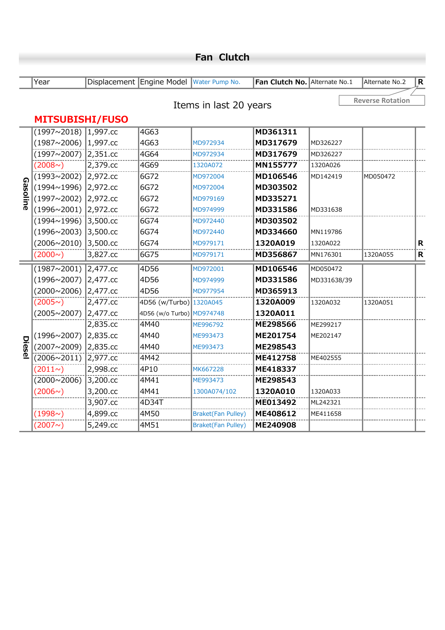|          | Year                   |              | Displacement Engine Model Water Pump No. |                           | Fan Clutch No. Alternate No.1 |             | Alternate No.2          | $\mathbf R$ |
|----------|------------------------|--------------|------------------------------------------|---------------------------|-------------------------------|-------------|-------------------------|-------------|
|          |                        |              |                                          | Items in last 20 years    |                               |             | <b>Reverse Rotation</b> |             |
|          | <b>MITSUBISHI/FUSO</b> |              |                                          |                           |                               |             |                         |             |
|          | $(1997~2018)$ 1,997.cc |              | 4G63                                     |                           | MD361311                      |             |                         |             |
|          | (1987~2006)            | 1,997.cc     | 4G63                                     | MD972934                  | MD317679                      | MD326227    |                         |             |
|          | (1997~2007) 2,351.cc   |              | 4G64                                     | MD972934                  | MD317679                      | MD326227    |                         |             |
|          | (2008 <sub>o</sub> )   | 2,379.cc     | 4G69                                     | 1320A072                  | MN155777                      | 1320A026    |                         |             |
|          | $(1993 \times 2002)$   | $ 2,972$ .cc | 6G72                                     | MD972004                  | MD106546                      | MD142419    | MD050472                |             |
| Gasoline | (1994∼1996) 2,972.cc   |              | 6G72                                     | MD972004                  | MD303502                      |             |                         |             |
|          | (1997~2002)            | 2,972.cc     | 6G72                                     | MD979169                  | MD335271                      |             |                         |             |
|          | $(1996 \times 2001)$   | 2,972.cc     | 6G72                                     | MD974999                  | MD331586                      | MD331638    |                         |             |
|          | (1994~1996)            | 3,500.cc     | 6G74                                     | MD972440                  | MD303502                      |             |                         |             |
|          | $(1996 \times 2003)$   | 3,500.cc     | 6G74                                     | MD972440                  | MD334660                      | MN119786    |                         |             |
|          | $(2006 \times 2010)$   | 3,500.cc     | 6G74                                     | MD979171                  | 1320A019                      | 1320A022    |                         | $\mathbf R$ |
|          | $(2000 \sim)$          | 3,827.cc     | 6G75                                     | MD979171                  | MD356867                      | MN176301    | 1320A055                | $\mathbf R$ |
|          | $(1987~2001)$ 2,477.cc |              | 4D56                                     | MD972001                  | MD106546                      | MD050472    |                         |             |
|          | (1996∼2007) 2,477.cc   |              | 4D56                                     | MD974999                  | MD331586                      | MD331638/39 |                         |             |
|          | (2000~2006) 2,477.cc   |              | 4D56                                     | MD977954                  | MD365913                      |             |                         |             |
|          | (2005)                 | $2,477$ .cc  | 4D56 (w/Turbo) 1320A045                  |                           | 1320A009                      | 1320A032    | 1320A051                |             |
|          | (2005~2007)            | 2,477.cc     | 4D56 (w/o Turbo) MD974748                |                           | 1320A011                      |             |                         |             |
|          |                        | 2,835.cc     | 4M40                                     | ME996792                  | ME298566                      | ME299217    |                         |             |
|          | (1996~2007)            | 2,835.cc     | 4M40                                     | ME993473                  | ME201754                      | ME202147    |                         |             |
| Diesel   | (2007~2009)            | 2,835.cc     | 4M40                                     | ME993473                  | ME298543                      |             |                         |             |
|          | $(2006 \times 2011)$   | 2,977.cc     | 4M42                                     |                           | ME412758                      | ME402555    |                         |             |
|          | (2011)                 | 2,998.cc     | 4P10                                     | MK667228                  | ME418337                      |             |                         |             |
|          | $(2000 \times 2006)$   | 3,200.cc     | 4M41                                     | ME993473                  | ME298543                      |             |                         |             |
|          | (2006)                 | 3,200.cc     | 4M41                                     | 1300A074/102              | 1320A010                      | 1320A033    |                         |             |
|          |                        | 3,907.cc     | 4D34T                                    |                           | ME013492                      | ML242321    |                         |             |
|          | (1998)                 | 4,899.cc     | 4M50                                     | <b>Braket(Fan Pulley)</b> | ME408612                      | ME411658    |                         |             |
|          | (2007)                 | 5,249.cc     | 4M51                                     | <b>Braket(Fan Pulley)</b> | ME240908                      |             |                         |             |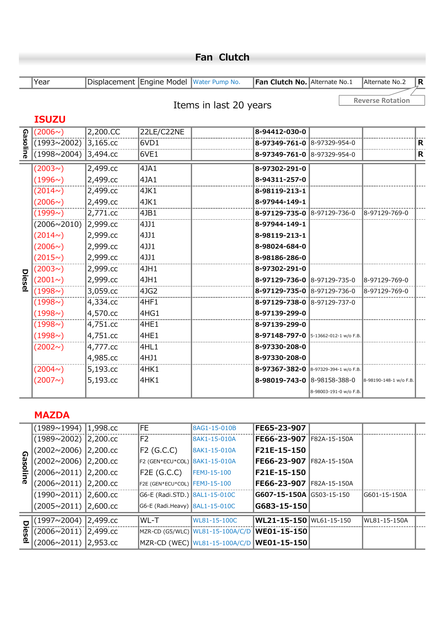|          | Year                 |              | Displacement Engine Model Water Pump No. |                        | Fan Clutch No. Alternate No.1        |                        | Alternate No.2          | R |
|----------|----------------------|--------------|------------------------------------------|------------------------|--------------------------------------|------------------------|-------------------------|---|
|          | <b>ISUZU</b>         |              |                                          | Items in last 20 years |                                      |                        | <b>Reverse Rotation</b> |   |
|          | $(2006\sim)$         | 2,200.CC     | 22LE/C22NE                               |                        | 8-94412-030-0                        |                        |                         |   |
|          | $(1993 \times 2002)$ | $ 3,165$ .cc | 6VD1                                     |                        | 8-97349-761-0 8-97329-954-0          |                        |                         | R |
| Gasoline | (1998~2004)          | 3,494.cc     | 6VE1                                     |                        | 8-97349-761-0 8-97329-954-0          |                        |                         | R |
|          | (2003)               | 2,499.cc     | 4JA1                                     |                        | 8-97302-291-0                        |                        |                         |   |
|          | $(1996\sim)$         | 2,499.cc     | 4JA1                                     |                        | 8-94311-257-0                        |                        |                         |   |
|          | $(2014\sim)$         | 2,499.cc     | 4JK1                                     |                        | 8-98119-213-1                        |                        |                         |   |
|          | $(2006\sim)$         | 2,499.cc     | 14JK1                                    |                        | 8-97944-149-1                        |                        |                         |   |
|          | (1999)               | 2,771.cc     | 4JB1                                     |                        | 8-97129-735-0 8-97129-736-0          |                        | 8-97129-769-0           |   |
|          | (2006~2010) 2,999.cc |              | 4JJ1                                     |                        | 8-97944-149-1                        |                        |                         |   |
|          | (2014 <sup>o</sup> ) | 2,999.cc     | 4JJ1                                     |                        | 8-98119-213-1                        |                        |                         |   |
|          | $(2006\sim)$         | 2,999.cc     | 4JJ1                                     |                        | 8-98024-684-0                        |                        |                         |   |
|          | (2015)               | 2,999.cc     | 4JJ1                                     |                        | 8-98186-286-0                        |                        |                         |   |
|          | (2003)               | 2,999.cc     | 4JH1                                     |                        | 8-97302-291-0                        |                        |                         |   |
| Diesel   | $(2001\sim)$         | 2,999.cc     | 4JH1                                     |                        | 8-97129-736-0 8-97129-735-0          |                        | 8-97129-769-0           |   |
|          | (1998)               | 3,059.cc     | 4JG2                                     |                        | 8-97129-735-0 8-97129-736-0          |                        | 8-97129-769-0           |   |
|          | (1998)               | 4,334.cc     | 4HF1                                     |                        | 8-97129-738-0 8-97129-737-0          |                        |                         |   |
|          | (1998)               | 4,570.cc     | 4HG1                                     |                        | 8-97139-299-0                        |                        |                         |   |
|          | (1998)               | 4,751.cc     | 4HE1                                     |                        | 8-97139-299-0                        |                        |                         |   |
|          | (1998)               | 4,751.cc     | 4HE1                                     |                        | 8-97148-797-0 5-13662-012-1 w/o F.B. |                        |                         |   |
|          | (2002)               | 4,777.cc     | 4HL1                                     |                        | 8-97330-208-0                        |                        |                         |   |
|          |                      | 4,985.cc     | 4HJ1                                     |                        | 8-97330-208-0                        |                        |                         |   |
|          | (2004 <sub>o</sub> ) | 5,193.cc     | 4HK1                                     |                        | 8-97367-382-0 8-97329-394-1 w/o F.B. |                        |                         |   |
|          | (2007)               | 5,193.cc     | 4HK1                                     |                        | 8-98019-743-0 8-98158-388-0          |                        | 8-98190-148-1 w/o F.B.  |   |
|          |                      |              |                                          |                        |                                      | 8-98003-191-0 w/o F.B. |                         |   |

### **MAZDA**

|        | (1989∼1994)  1,998.cc         | FE.                            | 8AG1-15-010B                                 | <b>IFE65-23-907</b>             |              |              |  |
|--------|-------------------------------|--------------------------------|----------------------------------------------|---------------------------------|--------------|--------------|--|
|        | (1989~2002) 2,200.cc          | IF2                            | 8AK1-15-010A                                 | <b>IFE66-23-907</b>             | F82A-15-150A |              |  |
| ഹ      | (2002∼2006)  2,200.cc         | F2 (G.C.C)                     | 8AK1-15-010A                                 | F21E-15-150                     |              |              |  |
| ilosa  | (2002∼2006)  2,200.cc         | F2 (GEN*ECU*COL) 8AK1-15-010A  |                                              | IFE66-23-907                    | F82A-15-150A |              |  |
|        | (2006∼2011)  2,200.cc         | $F2E$ (G.C.C)                  | FEMJ-15-100                                  | <b>IF21E-15-150</b>             |              |              |  |
| ine    | (2006∼2011)  2,200.cc         | F2E (GEN*ECU*COL) FEMJ-15-100  |                                              | <b>IFE66-23-907</b>             | F82A-15-150A |              |  |
|        | $(1990 \times 2011)$ 2,600.cc | G6-E (Radi.STD.) 8AL1-15-010C  |                                              | <b>G607-15-150A G503-15-150</b> |              | G601-15-150A |  |
|        | $(2005~2011)$ 2,600.cc        | G6-E (Radi.Heavy) 8AL1-15-010C |                                              | $ G683 - 15 - 150 $             |              |              |  |
| $\Box$ | (1997∼2004)  2,499.cc         | IWL-T                          | <b>I</b> WL81-15-100C                        | WL21-15-150 WL61-15-150         |              | WL81-15-150A |  |
| esel   | (2006∼2011)  2,499.cc         |                                | MZR-CD (G5/WLC) WL81-15-100A/C/D WE01-15-150 |                                 |              |              |  |
|        | (2006∼2011)  2,953.cc         |                                | MZR-CD (WEC) WL81-15-100A/C/D WE01-15-150    |                                 |              |              |  |